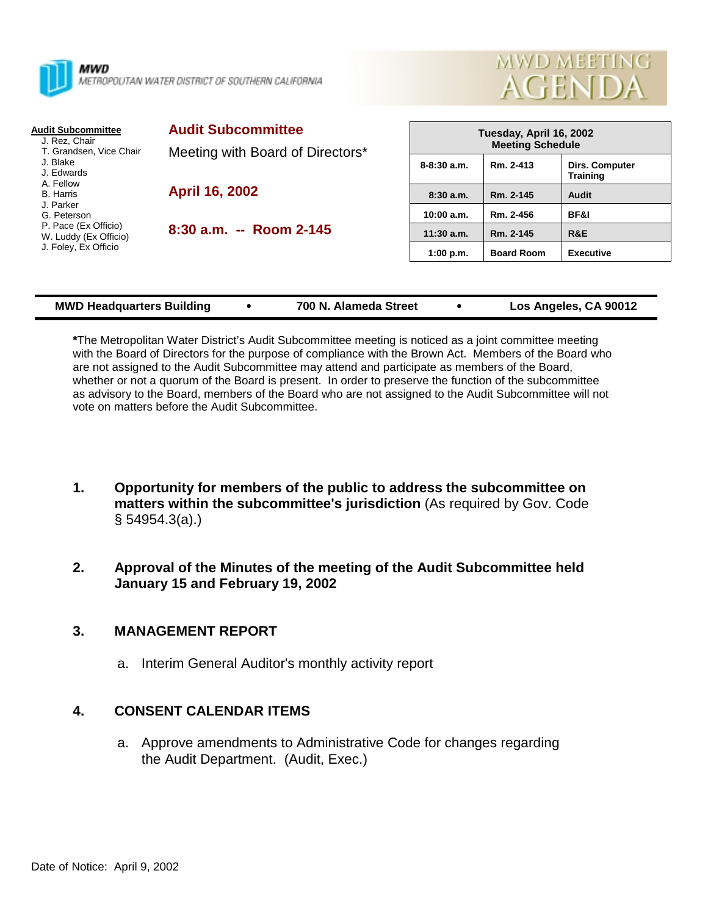



| <b>Audit Subcommittee</b><br>J. Rez. Chair                                                                     | <b>Audit Subcommittee</b><br>Meeting with Board of Directors*<br><b>April 16, 2002</b> | Tuesday, April 16, 2002<br><b>Meeting Schedule</b> |                        |                                   |
|----------------------------------------------------------------------------------------------------------------|----------------------------------------------------------------------------------------|----------------------------------------------------|------------------------|-----------------------------------|
| T. Grandsen, Vice Chair<br>J. Blake<br>J. Edwards<br>A. Fellow<br><b>B.</b> Harris<br>J. Parker<br>G. Peterson |                                                                                        | $8 - 8:30$ a.m.                                    | Rm. 2-413              | Dirs. Computer<br><b>Training</b> |
|                                                                                                                |                                                                                        | 8:30a.m.<br>10:00 a.m.                             | Rm. 2-145<br>Rm. 2-456 | Audit<br>BF&I                     |
| P. Pace (Ex Officio)<br>W. Luddy (Ex Officio)<br>J. Foley, Ex Officio                                          | $8:30$ a.m. $-$ Room 2-145                                                             | $11:30$ a.m.                                       | Rm. 2-145              | R&E                               |
|                                                                                                                |                                                                                        | 1:00 p.m.                                          | <b>Board Room</b>      | <b>Executive</b>                  |
|                                                                                                                |                                                                                        |                                                    |                        |                                   |

| Los Angeles, CA 90012<br>700 N. Alameda Street<br><b>MWD Headquarters Building</b> |
|------------------------------------------------------------------------------------|
|------------------------------------------------------------------------------------|

**\***The Metropolitan Water District's Audit Subcommittee meeting is noticed as a joint committee meeting with the Board of Directors for the purpose of compliance with the Brown Act. Members of the Board who are not assigned to the Audit Subcommittee may attend and participate as members of the Board, whether or not a quorum of the Board is present. In order to preserve the function of the subcommittee as advisory to the Board, members of the Board who are not assigned to the Audit Subcommittee will not vote on matters before the Audit Subcommittee.

- **1. Opportunity for members of the public to address the subcommittee on matters within the subcommittee's jurisdiction** (As required by Gov. Code § 54954.3(a).)
- **2. Approval of the Minutes of the meeting of the Audit Subcommittee held January 15 and February 19, 2002**

# **3. MANAGEMENT REPORT**

a. Interim General Auditor's monthly activity report

### **4. CONSENT CALENDAR ITEMS**

a. Approve amendments to Administrative Code for changes regarding the Audit Department. (Audit, Exec.)